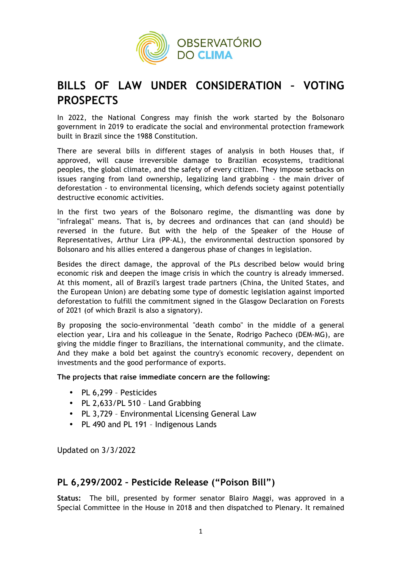

# **BILLS OF LAW UNDER CONSIDERATION – VOTING PROSPECTS**

In 2022, the National Congress may finish the work started by the Bolsonaro government in 2019 to eradicate the social and environmental protection framework built in Brazil since the 1988 Constitution.

There are several bills in different stages of analysis in both Houses that, if approved, will cause irreversible damage to Brazilian ecosystems, traditional peoples, the global climate, and the safety of every citizen. They impose setbacks on issues ranging from land ownership, legalizing land grabbing - the main driver of deforestation - to environmental licensing, which defends society against potentially destructive economic activities.

In the first two years of the Bolsonaro regime, the dismantling was done by "infralegal" means. That is, by decrees and ordinances that can (and should) be reversed in the future. But with the help of the Speaker of the House of Representatives, Arthur Lira (PP-AL), the environmental destruction sponsored by Bolsonaro and his allies entered a dangerous phase of changes in legislation.

Besides the direct damage, the approval of the PLs described below would bring economic risk and deepen the image crisis in which the country is already immersed. At this moment, all of Brazil's largest trade partners (China, the United States, and the European Union) are debating some type of domestic legislation against imported deforestation to fulfill the commitment signed in the Glasgow Declaration on Forests of 2021 (of which Brazil is also a signatory).

By proposing the socio-environmental "death combo" in the middle of a general election year, Lira and his colleague in the Senate, Rodrigo Pacheco (DEM-MG), are giving the middle finger to Brazilians, the international community, and the climate. And they make a bold bet against the country's economic recovery, dependent on investments and the good performance of exports.

**The projects that raise immediate concern are the following:**

- PL 6,299 Pesticides
- PL 2,633/PL 510 Land Grabbing
- PL 3,729 Environmental Licensing General Law
- PL 490 and PL 191 Indigenous Lands

Updated on 3/3/2022

# **PL 6,299/2002 – Pesticide Release ("Poison Bill")**

**Status:** The bill, presented by former senator Blairo Maggi, was approved in a Special Committee in the House in 2018 and then dispatched to Plenary. It remained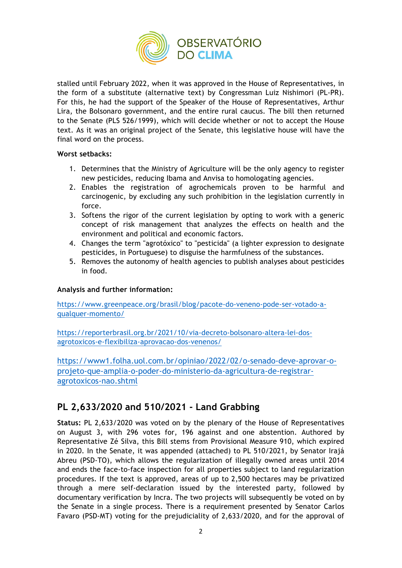

stalled until February 2022, when it was approved in the House of Representatives, in the form of a substitute (alternative text) by Congressman Luiz Nishimori (PL-PR). For this, he had the support of the Speaker of the House of Representatives, Arthur Lira, the Bolsonaro government, and the entire rural caucus. The bill then returned to the Senate (PLS 526/1999), which will decide whether or not to accept the House text. As it was an original project of the Senate, this legislative house will have the final word on the process.

### **Worst setbacks:**

- 1. Determines that the Ministry of Agriculture will be the only agency to register new pesticides, reducing Ibama and Anvisa to homologating agencies.
- 2. Enables the registration of agrochemicals proven to be harmful and carcinogenic, by excluding any such prohibition in the legislation currently in force.
- 3. Softens the rigor of the current legislation by opting to work with a generic concept of risk management that analyzes the effects on health and the environment and political and economic factors.
- 4. Changes the term "agrotóxico" to "pesticida" (a lighter expression to designate pesticides, in Portuguese) to disguise the harmfulness of the substances.
- 5. Removes the autonomy of health agencies to publish analyses about pesticides in food.

### **Analysis and further information:**

https://www.greenpeace.org/brasil/blog/pacote-do-veneno-pode-ser-votado-aqualquer-momento/

https://reporterbrasil.org.br/2021/10/via-decreto-bolsonaro-altera-lei-dosagrotoxicos-e-flexibiliza-aprovacao-dos-venenos/

https://www1.folha.uol.com.br/opiniao/2022/02/o-senado-deve-aprovar-oprojeto-que-amplia-o-poder-do-ministerio-da-agricultura-de-registraragrotoxicos-nao.shtml

# **PL 2,633/2020 and 510/2021 - Land Grabbing**

**Status:** PL 2,633/2020 was voted on by the plenary of the House of Representatives on August 3, with 296 votes for, 196 against and one abstention. Authored by Representative Zé Silva, this Bill stems from Provisional Measure 910, which expired in 2020. In the Senate, it was appended (attached) to PL 510/2021, by Senator Irajá Abreu (PSD-TO), which allows the regularization of illegally owned areas until 2014 and ends the face-to-face inspection for all properties subject to land regularization procedures. If the text is approved, areas of up to 2,500 hectares may be privatized through a mere self-declaration issued by the interested party, followed by documentary verification by Incra. The two projects will subsequently be voted on by the Senate in a single process. There is a requirement presented by Senator Carlos Favaro (PSD-MT) voting for the prejudiciality of 2,633/2020, and for the approval of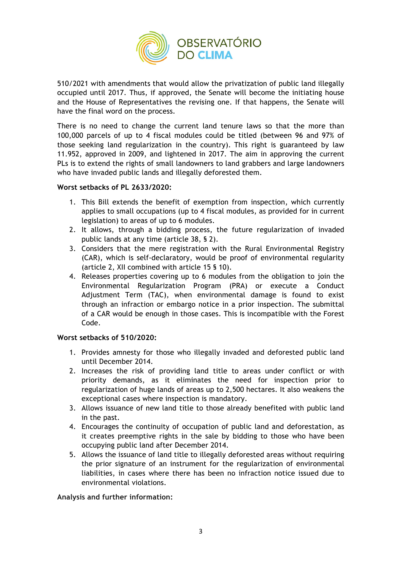

510/2021 with amendments that would allow the privatization of public land illegally occupied until 2017. Thus, if approved, the Senate will become the initiating house and the House of Representatives the revising one. If that happens, the Senate will have the final word on the process.

There is no need to change the current land tenure laws so that the more than 100,000 parcels of up to 4 fiscal modules could be titled (between 96 and 97% of those seeking land regularization in the country). This right is guaranteed by law 11.952, approved in 2009, and lightened in 2017. The aim in approving the current PLs is to extend the rights of small landowners to land grabbers and large landowners who have invaded public lands and illegally deforested them.

### **Worst setbacks of PL 2633/2020:**

- 1. This Bill extends the benefit of exemption from inspection, which currently applies to small occupations (up to 4 fiscal modules, as provided for in current legislation) to areas of up to 6 modules.
- 2. It allows, through a bidding process, the future regularization of invaded public lands at any time (article 38, § 2).
- 3. Considers that the mere registration with the Rural Environmental Registry (CAR), which is self-declaratory, would be proof of environmental regularity (article 2, XII combined with article 15 § 10).
- 4. Releases properties covering up to 6 modules from the obligation to join the Environmental Regularization Program (PRA) or execute a Conduct Adjustment Term (TAC), when environmental damage is found to exist through an infraction or embargo notice in a prior inspection. The submittal of a CAR would be enough in those cases. This is incompatible with the Forest Code.

### **Worst setbacks of 510/2020:**

- 1. Provides amnesty for those who illegally invaded and deforested public land until December 2014.
- 2. Increases the risk of providing land title to areas under conflict or with priority demands, as it eliminates the need for inspection prior to regularization of huge lands of areas up to 2,500 hectares. It also weakens the exceptional cases where inspection is mandatory.
- 3. Allows issuance of new land title to those already benefited with public land in the past.
- 4. Encourages the continuity of occupation of public land and deforestation, as it creates preemptive rights in the sale by bidding to those who have been occupying public land after December 2014.
- 5. Allows the issuance of land title to illegally deforested areas without requiring the prior signature of an instrument for the regularization of environmental liabilities, in cases where there has been no infraction notice issued due to environmental violations.

**Analysis and further information:**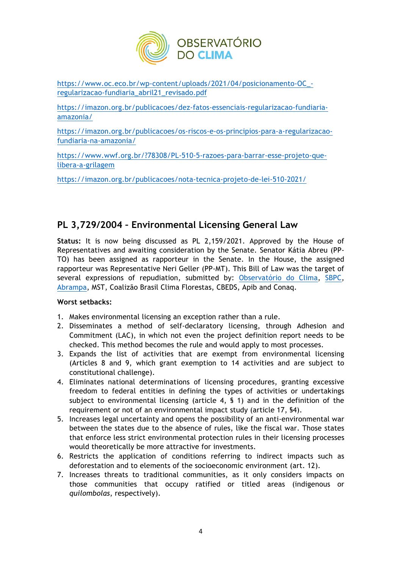

https://www.oc.eco.br/wp-content/uploads/2021/04/posicionamento-OC\_ regularizacao-fundiaria\_abril21\_revisado.pdf

https://imazon.org.br/publicacoes/dez-fatos-essenciais-regularizacao-fundiariaamazonia/

https://imazon.org.br/publicacoes/os-riscos-e-os-principios-para-a-regularizacaofundiaria-na-amazonia/

https://www.wwf.org.br/?78308/PL-510-5-razoes-para-barrar-esse-projeto-quelibera-a-grilagem

https://imazon.org.br/publicacoes/nota-tecnica-projeto-de-lei-510-2021/

# **PL 3,729/2004 – Environmental Licensing General Law**

**Status:** It is now being discussed as PL 2,159/2021. Approved by the House of Representatives and awaiting consideration by the Senate. Senator Kátia Abreu (PP-TO) has been assigned as rapporteur in the Senate. In the House, the assigned rapporteur was Representative Neri Geller (PP-MT). This Bill of Law was the target of several expressions of repudiation, submitted by: Observatório do Clima, SBPC, Abrampa, MST, Coalizão Brasil Clima Florestas, CBEDS, Apib and Conaq.

### **Worst setbacks:**

- 1. Makes environmental licensing an exception rather than a rule.
- 2. Disseminates a method of self-declaratory licensing, through Adhesion and Commitment (LAC), in which not even the project definition report needs to be checked. This method becomes the rule and would apply to most processes.
- 3. Expands the list of activities that are exempt from environmental licensing (Articles 8 and 9, which grant exemption to 14 activities and are subject to constitutional challenge).
- 4. Eliminates national determinations of licensing procedures, granting excessive freedom to federal entities in defining the types of activities or undertakings subject to environmental licensing (article 4, § 1) and in the definition of the requirement or not of an environmental impact study (article 17, §4).
- 5. Increases legal uncertainty and opens the possibility of an anti-environmental war between the states due to the absence of rules, like the fiscal war. Those states that enforce less strict environmental protection rules in their licensing processes would theoretically be more attractive for investments.
- 6. Restricts the application of conditions referring to indirect impacts such as deforestation and to elements of the socioeconomic environment (art. 12).
- 7. Increases threats to traditional communities, as it only considers impacts on those communities that occupy ratified or titled areas (indigenous or *quilombolas*, respectively).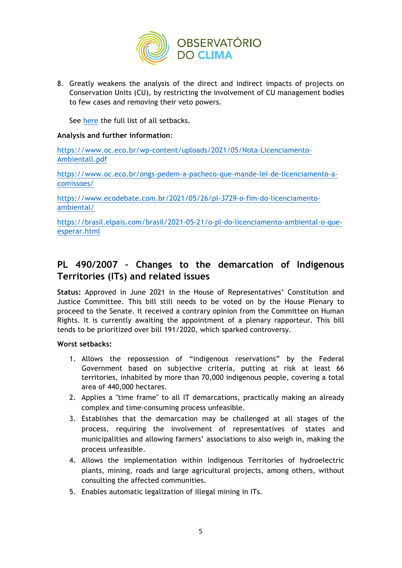

8. Greatly weakens the analysis of the direct and indirect impacts of projects on Conservation Units (CU), by restricting the involvement of CU management bodies to few cases and removing their veto powers.

See here the full list of all setbacks.

## **Analysis and further information**:

https://www.oc.eco.br/wp-content/uploads/2021/05/Nota-Licenciamento-Ambientall.pdf

https://www.oc.eco.br/ongs-pedem-a-pacheco-que-mande-lei-de-licenciamento-acomissoes/

https://www.ecodebate.com.br/2021/05/26/pl-3729-o-fim-do-licenciamentoambiental/

https://brasil.elpais.com/brasil/2021-05-21/o-pl-do-licenciamento-ambiental-o-queesperar.html

# **PL 490/2007 – Changes to the demarcation of Indigenous Territories (ITs) and related issues**

**Status:** Approved in June 2021 in the House of Representatives' Constitution and Justice Committee. This bill still needs to be voted on by the House Plenary to proceed to the Senate. It received a contrary opinion from the Committee on Human Rights. It is currently awaiting the appointment of a plenary rapporteur. This bill tends to be prioritized over bill 191/2020, which sparked controversy.

### **Worst setbacks:**

- 1. Allows the repossession of "indigenous reservations" by the Federal Government based on subjective criteria, putting at risk at least 66 territories, inhabited by more than 70,000 indigenous people, covering a total area of 440,000 hectares.
- 2. Applies a "time frame" to all IT demarcations, practically making an already complex and time-consuming process unfeasible.
- 3. Establishes that the demarcation may be challenged at all stages of the process, requiring the involvement of representatives of states and municipalities and allowing farmers' associations to also weigh in, making the process unfeasible.
- 4. Allows the implementation within Indigenous Territories of hydroelectric plants, mining, roads and large agricultural projects, among others, without consulting the affected communities.
- 5. Enables automatic legalization of illegal mining in ITs.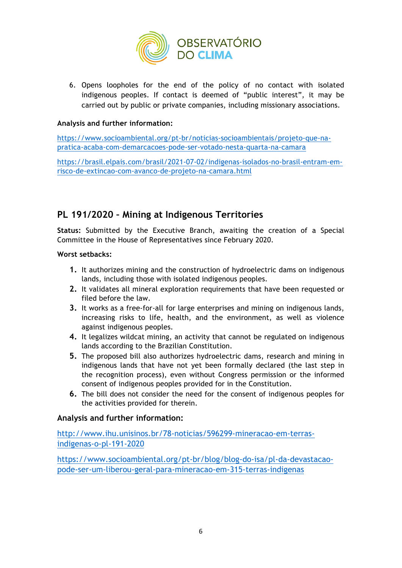

6. Opens loopholes for the end of the policy of no contact with isolated indigenous peoples. If contact is deemed of "public interest", it may be carried out by public or private companies, including missionary associations.

# **Analysis and further information:**

https://www.socioambiental.org/pt-br/noticias-socioambientais/projeto-que-napratica-acaba-com-demarcacoes-pode-ser-votado-nesta-quarta-na-camara

https://brasil.elpais.com/brasil/2021-07-02/indigenas-isolados-no-brasil-entram-emrisco-de-extincao-com-avanco-de-projeto-na-camara.html

# **PL 191/2020 – Mining at Indigenous Territories**

**Status:** Submitted by the Executive Branch, awaiting the creation of a Special Committee in the House of Representatives since February 2020.

### **Worst setbacks:**

- **1.** It authorizes mining and the construction of hydroelectric dams on indigenous lands, including those with isolated indigenous peoples.
- **2.** It validates all mineral exploration requirements that have been requested or filed before the law.
- **3.** It works as a free-for-all for large enterprises and mining on indigenous lands, increasing risks to life, health, and the environment, as well as violence against indigenous peoples.
- **4.** It legalizes wildcat mining, an activity that cannot be regulated on indigenous lands according to the Brazilian Constitution.
- **5.** The proposed bill also authorizes hydroelectric dams, research and mining in indigenous lands that have not yet been formally declared (the last step in the recognition process), even without Congress permission or the informed consent of indigenous peoples provided for in the Constitution.
- **6.** The bill does not consider the need for the consent of indigenous peoples for the activities provided for therein.

# **Analysis and further information:**

http://www.ihu.unisinos.br/78-noticias/596299-mineracao-em-terrasindigenas-o-pl-191-2020

https://www.socioambiental.org/pt-br/blog/blog-do-isa/pl-da-devastacaopode-ser-um-liberou-geral-para-mineracao-em-315-terras-indigenas